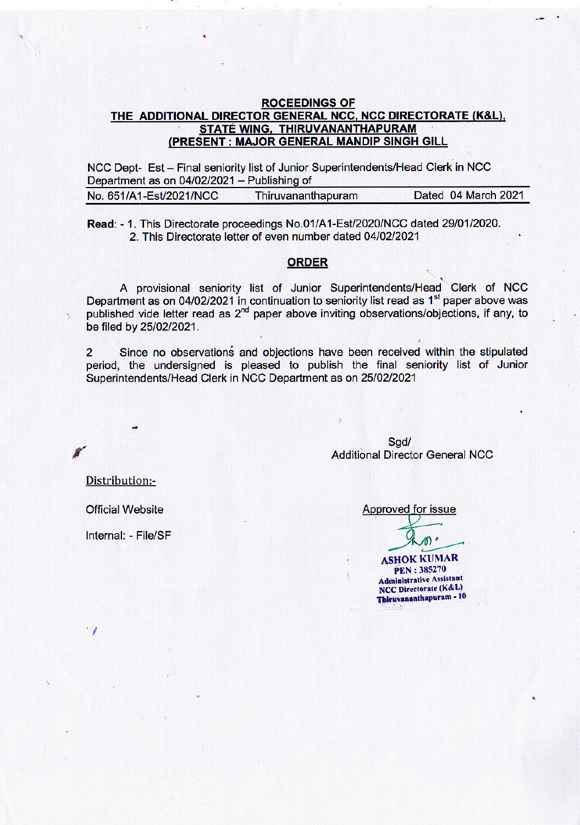## **ROCEEDINGS OF** THE ADDITIONAL DIRECTOR GENERAL NCC, NCC DIRECTORATE (K&L), STATE WING. THIRUVANANTHAPURAM (PRESENT: MAJOR GENERAL MANDIP SINGH GILL

NCC Dept- Est - Final seniority list of Junior Superintendents/Head Clerk in NCC Department as on 04/02/2021 - Publishing of

| No. 651/A1-Est/2021/NCC | Thiruvananthapuram | Dated 04 March 2021 |
|-------------------------|--------------------|---------------------|
|                         |                    |                     |

Read: - 1. This Directorate proceedings No.01/A1-Est/2020/NCC dated 29/01/2020. 2. This Directorate letter of even number dated 04/02/2021

## **ORDER**

A provisional seniority list of Junior Superintendents/Head Clerk of NCC Department as on 04/02/2021 in continuation to seniority list read as 1<sup>st</sup> paper above was published vide letter read as 2<sup>nd</sup> paper above inviting observations/objections, if any, to be filed by 25/02/2021.

Since no observations and objections have been received within the stipulated  $\overline{2}$ period, the undersigned is pleased to publish the final seniority list of Junior Superintendents/Head Clerk in NCC Department as on 25/02/2021

> Sgd/ **Additional Director General NCC**

Distribution:-

**Official Website** 

Internal: - File/SF

 $\cdot$  1

Approved for issue

 $\emptyset$ 

**ASHOK KUMAR PEN: 385270 Administrative Assistant** NCC Directorate (K&L) Thiruvananthapuram - 10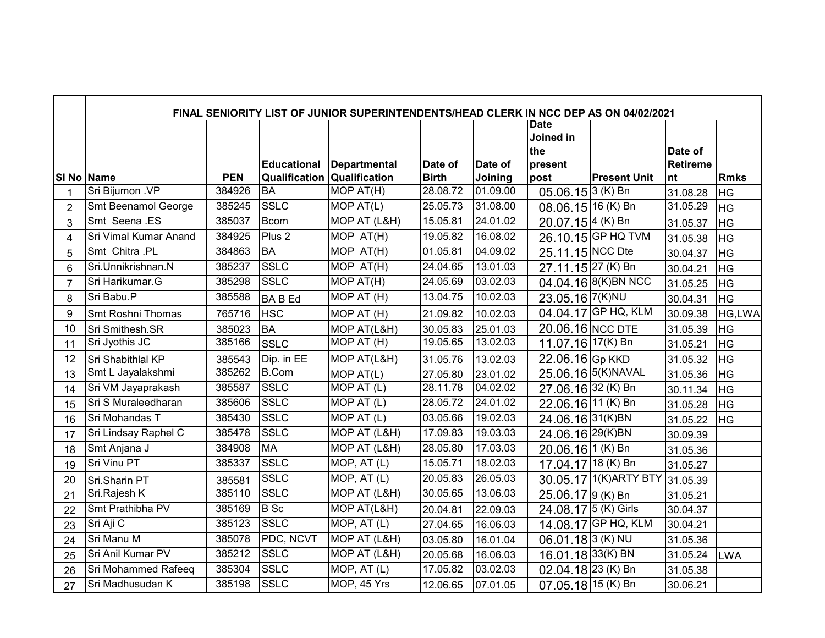|                | FINAL SENIORITY LIST OF JUNIOR SUPERINTENDENTS/HEAD CLERK IN NCC DEP AS ON 04/02/2021 |                      |                    |                                    |                          |          |                                |                        |                 |             |
|----------------|---------------------------------------------------------------------------------------|----------------------|--------------------|------------------------------------|--------------------------|----------|--------------------------------|------------------------|-----------------|-------------|
|                |                                                                                       |                      |                    |                                    |                          |          | Date<br>Joined in<br>the       |                        | Date of         |             |
|                |                                                                                       |                      | <b>Educational</b> | <b>Departmental</b>                | Date of                  | Date of  | present                        |                        | <b>Retireme</b> |             |
| SI No Name     |                                                                                       | <b>PEN</b><br>384926 | <b>BA</b>          | <b>Qualification Qualification</b> | <b>Birth</b><br>28.08.72 | Joining  | post                           | <b>Present Unit</b>    | nt              | <b>Rmks</b> |
|                | Sri Bijumon .VP                                                                       |                      |                    | MOP AT(H)                          |                          | 01.09.00 | $05.06.15$ <sup>3</sup> (K) Bn |                        | 31.08.28        | <b>HG</b>   |
| $\overline{2}$ | Smt Beenamol George                                                                   | 385245               | <b>SSLC</b>        | MOPAT(L)                           | 25.05.73                 | 31.08.00 | 08.06.15 16 (K) Bn             |                        | 31.05.29        | <b>HG</b>   |
| 3              | Smt Seena .ES                                                                         | 385037               | <b>Bcom</b>        | MOP AT (L&H)                       | 15.05.81                 | 24.01.02 | 20.07.15 4 (K) Bn              |                        | 31.05.37        | <b>HG</b>   |
| 4              | Sri Vimal Kumar Anand                                                                 | 384925               | Plus <sub>2</sub>  | MOP AT(H)                          | 19.05.82                 | 16.08.02 |                                | 26.10.15 GP HQ TVM     | 31.05.38        | <b>HG</b>   |
| 5              | Smt Chitra .PL                                                                        | 384863               | <b>BA</b>          | MOP AT(H)                          | 01.05.81                 | 04.09.02 | 25.11.15 NCC Dte               |                        | 30.04.37        | <b>HG</b>   |
| 6              | Sri.Unnikrishnan.N                                                                    | 385237               | <b>SSLC</b>        | MOP AT(H)                          | 24.04.65                 | 13.01.03 | 27.11.15 27 (K) Bn             |                        | 30.04.21        | <b>HG</b>   |
| $\overline{7}$ | Sri Harikumar.G                                                                       | 385298               | <b>SSLC</b>        | MOP AT(H)                          | 24.05.69                 | 03.02.03 |                                | 04.04.16 8(K) BN NCC   | 31.05.25        | <b>HG</b>   |
| 8              | Sri Babu.P                                                                            | 385588               | <b>BABEd</b>       | MOP AT (H)                         | 13.04.75                 | 10.02.03 | 23.05.16 7(K) NU               |                        | 30.04.31        | <b>HG</b>   |
| 9              | Smt Roshni Thomas                                                                     | 765716               | <b>HSC</b>         | MOP AT (H)                         | 21.09.82                 | 10.02.03 |                                | 04.04.17 GP HQ, KLM    | 30.09.38        | HG,LWA      |
| 10             | Sri Smithesh.SR                                                                       | 385023               | <b>BA</b>          | MOP AT(L&H)                        | 30.05.83                 | 25.01.03 | 20.06.16 NCC DTE               |                        | 31.05.39        | <b>HG</b>   |
| 11             | Sri Jyothis JC                                                                        | 385166               | <b>SSLC</b>        | MOP AT (H)                         | 19.05.65                 | 13.02.03 | 11.07.16 17(K) Bn              |                        | 31.05.21        | <b>HG</b>   |
| 12             | Sri Shabithlal KP                                                                     | 385543               | Dip. in EE         | MOP AT(L&H)                        | 31.05.76                 | 13.02.03 | 22.06.16 Gp KKD                |                        | 31.05.32        | <b>HG</b>   |
| 13             | Smt L Jayalakshmi                                                                     | 385262               | <b>B.Com</b>       | MOP AT(L)                          | 27.05.80                 | 23.01.02 |                                | 25.06.16 5(K) NAVAL    | 31.05.36        | <b>HG</b>   |
| 14             | Sri VM Jayaprakash                                                                    | 385587               | <b>SSLC</b>        | MOP AT (L)                         | 28.11.78                 | 04.02.02 | 27.06.16 32 (K) Bn             |                        | 30.11.34        | <b>HG</b>   |
| 15             | Sri S Muraleedharan                                                                   | 385606               | <b>SSLC</b>        | $\overline{M}$ OP AT (L)           | 28.05.72                 | 24.01.02 | 22.06.16 11 (K) Bn             |                        | 31.05.28        | <b>HG</b>   |
| 16             | Sri Mohandas T                                                                        | 385430               | <b>SSLC</b>        | MOP $AT(L)$                        | 03.05.66                 | 19.02.03 | 24.06.16 31(K)BN               |                        | 31.05.22        | <b>HG</b>   |
| 17             | Sri Lindsay Raphel C                                                                  | 385478               | <b>SSLC</b>        | MOP AT (L&H)                       | 17.09.83                 | 19.03.03 | 24.06.16 29(K)BN               |                        | 30.09.39        |             |
| 18             | Smt Anjana J                                                                          | 384908               | <b>MA</b>          | MOP AT (L&H)                       | 28.05.80                 | 17.03.03 | 20.06.16 1 (K) Bn              |                        | 31.05.36        |             |
| 19             | <b>Sri Vinu PT</b>                                                                    | 385337               | <b>SSLC</b>        | MOP, AT (L)                        | 15.05.71                 | 18.02.03 | 17.04.17 18 (K) Bn             |                        | 31.05.27        |             |
| 20             | Sri.Sharin PT                                                                         | 385581               | <b>SSLC</b>        | MOP, AT (L)                        | 20.05.83                 | 26.05.03 |                                | 30.05.17 1(K) ARTY BTY | 31.05.39        |             |
| 21             | Sri.Rajesh K                                                                          | 385110               | <b>SSLC</b>        | MOP AT (L&H)                       | 30.05.65                 | 13.06.03 | 25.06.17 9 (K) Bn              |                        | 31.05.21        |             |
| 22             | Smt Prathibha PV                                                                      | 385169               | $B$ Sc             | $\overline{MOP}$ AT(L&H)           | 20.04.81                 | 22.09.03 | 24.08.17 5 (K) Girls           |                        | 30.04.37        |             |
| 23             | Sri Aji C                                                                             | 385123               | <b>SSLC</b>        | MOP, AT(L)                         | 27.04.65                 | 16.06.03 |                                | 14.08.17 GP HQ, KLM    | 30.04.21        |             |
| 24             | Sri Manu M                                                                            | 385078               | PDC, NCVT          | MOP AT (L&H)                       | 03.05.80                 | 16.01.04 | $06.01.18$ 3 (K) NU            |                        | 31.05.36        |             |
| 25             | Sri Anil Kumar PV                                                                     | 385212               | <b>SSLC</b>        | MOP AT (L&H)                       | 20.05.68                 | 16.06.03 | 16.01.18 33(K) BN              |                        | 31.05.24        | <b>LWA</b>  |
| 26             | Sri Mohammed Rafeeq                                                                   | 385304               | <b>SSLC</b>        | $\overline{MOP}$ , AT (L)          | 17.05.82                 | 03.02.03 | $02.04.18$ 23 (K) Bn           |                        | 31.05.38        |             |
| 27             | Sri Madhusudan K                                                                      | 385198               | <b>SSLC</b>        | MOP, 45 Yrs                        | 12.06.65                 | 07.01.05 | $07.05.18$ 15 (K) Bn           |                        | 30.06.21        |             |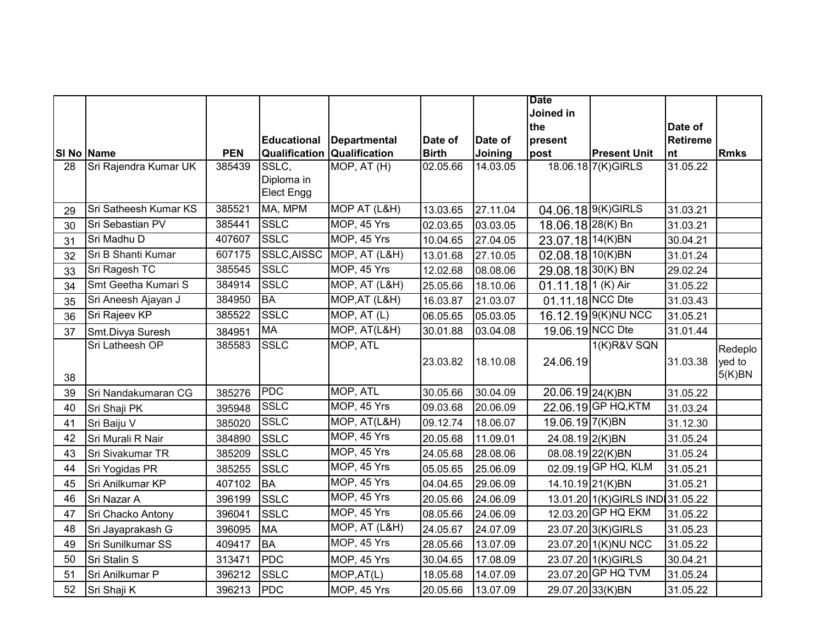|    |                       |            |                    |                                        |              |          | <b>Date</b>          |                                  |                 |             |
|----|-----------------------|------------|--------------------|----------------------------------------|--------------|----------|----------------------|----------------------------------|-----------------|-------------|
|    |                       |            |                    |                                        |              |          | Joined in            |                                  |                 |             |
|    |                       |            |                    |                                        |              |          | the                  |                                  | Date of         |             |
|    |                       |            | <b>Educational</b> | <b>Departmental</b>                    | Date of      | Date of  | present              |                                  | <b>Retireme</b> |             |
|    | SI No Name            | <b>PEN</b> |                    | <b>Qualification Qualification</b>     | <b>Birth</b> | Joining  | post                 | <b>Present Unit</b>              | nt              | <b>Rmks</b> |
| 28 | Sri Rajendra Kumar UK | 385439     | SSLC,              | $\overline{MOP}$ , $\overline{AT}$ (H) | 02.05.66     | 14.03.05 |                      | 18.06.18 7(K)GIRLS               | 31.05.22        |             |
|    |                       |            | Diploma in         |                                        |              |          |                      |                                  |                 |             |
|    |                       |            | Elect Engg         |                                        |              |          |                      |                                  |                 |             |
| 29 | Sri Satheesh Kumar KS | 385521     | MA, MPM            | MOP AT (L&H)                           | 13.03.65     | 27.11.04 |                      | 04.06.18 9(K) GIRLS              | 31.03.21        |             |
| 30 | Sri Sebastian PV      | 385441     | <b>SSLC</b>        | MOP, 45 Yrs                            | 02.03.65     | 03.03.05 | 18.06.18 28(K) Bn    |                                  | 31.03.21        |             |
| 31 | Sri Madhu D           | 407607     | <b>SSLC</b>        | MOP, 45 Yrs                            | 10.04.65     | 27.04.05 | 23.07.18 14(K)BN     |                                  | 30.04.21        |             |
| 32 | Sri B Shanti Kumar    | 607175     | SSLC, AISSC        | MOP, AT (L&H)                          | 13.01.68     | 27.10.05 | 02.08.18 10 (K) BN   |                                  | 31.01.24        |             |
| 33 | Sri Ragesh TC         | 385545     | <b>SSLC</b>        | MOP, 45 Yrs                            | 12.02.68     | 08.08.06 | 29.08.18 30(K) BN    |                                  | 29.02.24        |             |
| 34 | Smt Geetha Kumari S   | 384914     | <b>SSLC</b>        | MOP, AT (L&H)                          | 25.05.66     | 18.10.06 | $01.11.18$ 1 (K) Air |                                  | 31.05.22        |             |
| 35 | Sri Aneesh Ajayan J   | 384950     | <b>BA</b>          | MOP, AT (L&H)                          | 16.03.87     | 21.03.07 | 01.11.18 NCC Dte     |                                  | 31.03.43        |             |
| 36 | Sri Rajeev KP         | 385522     | <b>SSLC</b>        | MOP, AT(L)                             | 06.05.65     | 05.03.05 |                      | 16.12.19 9(K) NU NCC             | 31.05.21        |             |
| 37 | Smt.Divya Suresh      | 384951     | <b>MA</b>          | MOP, AT(L&H)                           | 30.01.88     | 03.04.08 |                      | 19.06.19 NCC Dte                 | 31.01.44        |             |
|    | Sri Latheesh OP       | 385583     | <b>SSLC</b>        | MOP, ATL                               |              |          |                      | <b>1(K)R&amp;V SQN</b>           |                 | Redeplo     |
|    |                       |            |                    |                                        | 23.03.82     | 18.10.08 | 24.06.19             |                                  | 31.03.38        | yed to      |
| 38 |                       |            |                    |                                        |              |          |                      |                                  |                 | 5(K)BN      |
| 39 | Sri Nandakumaran CG   | 385276     | <b>PDC</b>         | MOP, ATL                               | 30.05.66     | 30.04.09 | 20.06.19 24(K)BN     |                                  | 31.05.22        |             |
| 40 | Sri Shaji PK          | 395948     | <b>SSLC</b>        | MOP, 45 Yrs                            | 09.03.68     | 20.06.09 |                      | 22.06.19 GP HQ, KTM              | 31.03.24        |             |
| 41 | Sri Baiju V           | 385020     | <b>SSLC</b>        | MOP, AT(L&H)                           | 09.12.74     | 18.06.07 | 19.06.19 7(K)BN      |                                  | 31.12.30        |             |
| 42 | Sri Murali R Nair     | 384890     | <b>SSLC</b>        | MOP, 45 Yrs                            | 20.05.68     | 11.09.01 | 24.08.19 2(K)BN      |                                  | 31.05.24        |             |
| 43 | Sri Sivakumar TR      | 385209     | <b>SSLC</b>        | MOP, 45 Yrs                            | 24.05.68     | 28.08.06 |                      | 08.08.19 22(K)BN                 | 31.05.24        |             |
| 44 | Sri Yogidas PR        | 385255     | <b>SSLC</b>        | MOP, 45 Yrs                            | 05.05.65     | 25.06.09 |                      | 02.09.19 GP HQ, KLM              | 31.05.21        |             |
| 45 | Sri Anilkumar KP      | 407102     | <b>BA</b>          | MOP, 45 Yrs                            | 04.04.65     | 29.06.09 |                      | 14.10.19 21(K)BN                 | 31.05.21        |             |
| 46 | Sri Nazar A           | 396199     | <b>SSLC</b>        | MOP, 45 Yrs                            | 20.05.66     | 24.06.09 |                      | 13.01.20 1(K) GIRLS IND 31.05.22 |                 |             |
| 47 | Sri Chacko Antony     | 396041     | <b>SSLC</b>        | MOP, 45 Yrs                            | 08.05.66     | 24.06.09 |                      | 12.03.20 GP HQ EKM               | 31.05.22        |             |
| 48 | Sri Jayaprakash G     | 396095     | <b>MA</b>          | MOP, AT (L&H)                          | 24.05.67     | 24.07.09 |                      | 23.07.20 3(K) GIRLS              | 31.05.23        |             |
| 49 | Sri Sunilkumar SS     | 409417     | <b>BA</b>          | MOP, 45 Yrs                            | 28.05.66     | 13.07.09 |                      | 23.07.20 1(K) NU NCC             | 31.05.22        |             |
| 50 | Sri Stalin S          | 313471     | <b>PDC</b>         | MOP, 45 Yrs                            | 30.04.65     | 17.08.09 |                      | 23.07.20 1(K) GIRLS              | 30.04.21        |             |
| 51 | Sri Anilkumar P       | 396212     | <b>SSLC</b>        | MOP, AT(L)                             | 18.05.68     | 14.07.09 |                      | 23.07.20 GP HQ TVM               | 31.05.24        |             |
| 52 | Sri Shaji K           | 396213     | PDC                | MOP, 45 Yrs                            | 20.05.66     | 13.07.09 |                      | 29.07.20 33(K)BN                 | 31.05.22        |             |